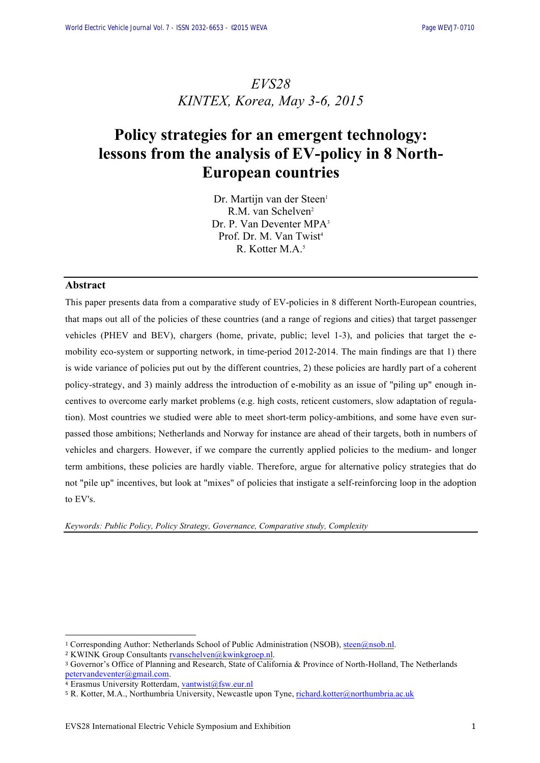## *EVS28 KINTEX, Korea, May 3-6, 2015*

# **Policy strategies for an emergent technology: lessons from the analysis of EV-policy in 8 North-European countries**

Dr. Martijn van der Steen<sup>1</sup> R.M. van Schelven<sup>2</sup> Dr. P. Van Deventer MPA<sup>3</sup> Prof. Dr. M. Van Twist<sup>4</sup> R. Kotter M.A.5

#### **Abstract**

This paper presents data from a comparative study of EV-policies in 8 different North-European countries, that maps out all of the policies of these countries (and a range of regions and cities) that target passenger vehicles (PHEV and BEV), chargers (home, private, public; level 1-3), and policies that target the emobility eco-system or supporting network, in time-period 2012-2014. The main findings are that 1) there is wide variance of policies put out by the different countries, 2) these policies are hardly part of a coherent policy-strategy, and 3) mainly address the introduction of e-mobility as an issue of "piling up" enough incentives to overcome early market problems (e.g. high costs, reticent customers, slow adaptation of regulation). Most countries we studied were able to meet short-term policy-ambitions, and some have even surpassed those ambitions; Netherlands and Norway for instance are ahead of their targets, both in numbers of vehicles and chargers. However, if we compare the currently applied policies to the medium- and longer term ambitions, these policies are hardly viable. Therefore, argue for alternative policy strategies that do not "pile up" incentives, but look at "mixes" of policies that instigate a self-reinforcing loop in the adoption to EV's.

*Keywords: Public Policy, Policy Strategy, Governance, Comparative study, Complexity*

<sup>2</sup> KWINK Group Consultants rvanschelven@kwinkgroep.nl.

 

<sup>1</sup> Corresponding Author: Netherlands School of Public Administration (NSOB), steen@nsob.nl.

<sup>3</sup> Governor's Office of Planning and Research, State of California & Province of North-Holland, The Netherlands petervandeventer@gmail.com.

<sup>4</sup> Erasmus University Rotterdam, vantwist@fsw.eur.nl

<sup>5</sup> R. Kotter, M.A., Northumbria University, Newcastle upon Tyne, richard.kotter@northumbria.ac.uk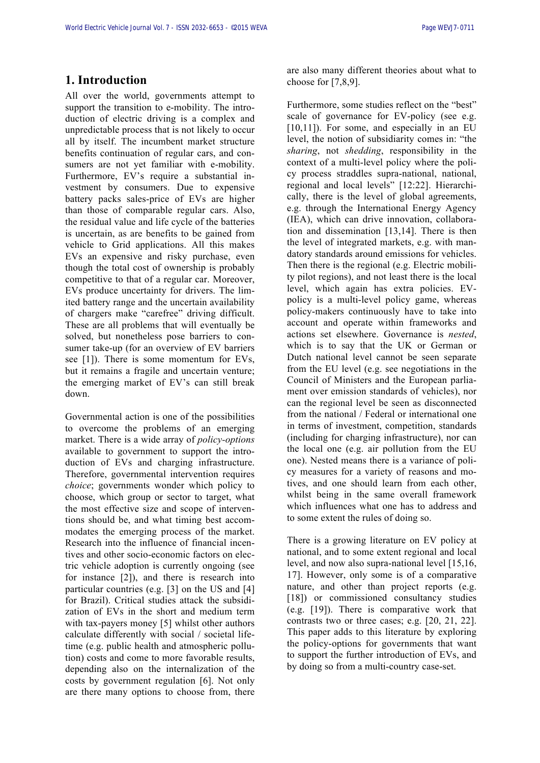## **1. Introduction**

All over the world, governments attempt to support the transition to e-mobility. The introduction of electric driving is a complex and unpredictable process that is not likely to occur all by itself. The incumbent market structure benefits continuation of regular cars, and consumers are not yet familiar with e-mobility. Furthermore, EV's require a substantial investment by consumers. Due to expensive battery packs sales-price of EVs are higher than those of comparable regular cars. Also, the residual value and life cycle of the batteries is uncertain, as are benefits to be gained from vehicle to Grid applications. All this makes EVs an expensive and risky purchase, even though the total cost of ownership is probably competitive to that of a regular car. Moreover, EVs produce uncertainty for drivers. The limited battery range and the uncertain availability of chargers make "carefree" driving difficult. These are all problems that will eventually be solved, but nonetheless pose barriers to consumer take-up (for an overview of EV barriers see [1]). There is some momentum for EVs, but it remains a fragile and uncertain venture; the emerging market of EV's can still break down.

Governmental action is one of the possibilities to overcome the problems of an emerging market. There is a wide array of *policy-options* available to government to support the introduction of EVs and charging infrastructure. Therefore, governmental intervention requires *choice*; governments wonder which policy to choose, which group or sector to target, what the most effective size and scope of interventions should be, and what timing best accommodates the emerging process of the market. Research into the influence of financial incentives and other socio-economic factors on electric vehicle adoption is currently ongoing (see for instance [2]), and there is research into particular countries (e.g. [3] on the US and [4] for Brazil). Critical studies attack the subsidization of EVs in the short and medium term with tax-payers money [5] whilst other authors calculate differently with social / societal lifetime (e.g. public health and atmospheric pollution) costs and come to more favorable results, depending also on the internalization of the costs by government regulation [6]. Not only are there many options to choose from, there are also many different theories about what to choose for [7,8,9].

Furthermore, some studies reflect on the "best" scale of governance for EV-policy (see e.g. [10,11]). For some, and especially in an EU level, the notion of subsidiarity comes in: "the *sharing*, not *shedding*, responsibility in the context of a multi-level policy where the policy process straddles supra-national, national, regional and local levels" [12:22]. Hierarchically, there is the level of global agreements, e.g. through the International Energy Agency (IEA), which can drive innovation, collaboration and dissemination [13,14]. There is then the level of integrated markets, e.g. with mandatory standards around emissions for vehicles. Then there is the regional (e.g. Electric mobility pilot regions), and not least there is the local level, which again has extra policies. EVpolicy is a multi-level policy game, whereas policy-makers continuously have to take into account and operate within frameworks and actions set elsewhere. Governance is *nested*, which is to say that the UK or German or Dutch national level cannot be seen separate from the EU level (e.g. see negotiations in the Council of Ministers and the European parliament over emission standards of vehicles), nor can the regional level be seen as disconnected from the national / Federal or international one in terms of investment, competition, standards (including for charging infrastructure), nor can the local one (e.g. air pollution from the EU one). Nested means there is a variance of policy measures for a variety of reasons and motives, and one should learn from each other, whilst being in the same overall framework which influences what one has to address and to some extent the rules of doing so.

There is a growing literature on EV policy at national, and to some extent regional and local level, and now also supra-national level [15,16, 17]. However, only some is of a comparative nature, and other than project reports (e.g. [18]) or commissioned consultancy studies (e.g. [19]). There is comparative work that contrasts two or three cases; e.g. [20, 21, 22]. This paper adds to this literature by exploring the policy-options for governments that want to support the further introduction of EVs, and by doing so from a multi-country case-set.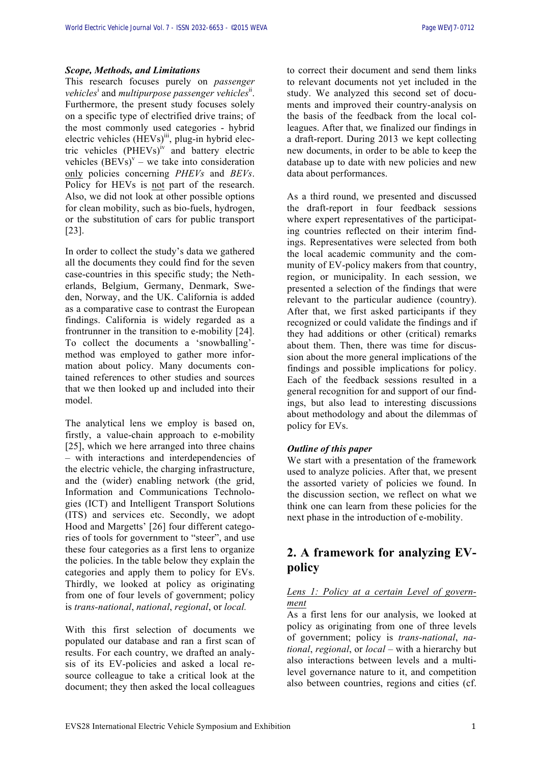#### *Scope, Methods, and Limitations*

This research focuses purely on *passenger*  vehicles<sup>i</sup> and *multipurpose passenger* vehicles<sup>ii</sup>. Furthermore, the present study focuses solely on a specific type of electrified drive trains; of the most commonly used categories - hybrid electric vehicles (HEVs)<sup>iii</sup>, plug-in hybrid electric vehicles  $(PHEVs)^{iv}$  and battery electric vehicles  $(BEVs)^v$  – we take into consideration only policies concerning *PHEVs* and *BEVs*. Policy for HEVs is not part of the research. Also, we did not look at other possible options for clean mobility, such as bio-fuels, hydrogen, or the substitution of cars for public transport [23].

In order to collect the study's data we gathered all the documents they could find for the seven case-countries in this specific study; the Netherlands, Belgium, Germany, Denmark, Sweden, Norway, and the UK. California is added as a comparative case to contrast the European findings. California is widely regarded as a frontrunner in the transition to e-mobility [24]. To collect the documents a 'snowballing' method was employed to gather more information about policy. Many documents contained references to other studies and sources that we then looked up and included into their model.

The analytical lens we employ is based on, firstly, a value-chain approach to e-mobility [25], which we here arranged into three chains – with interactions and interdependencies of the electric vehicle, the charging infrastructure, and the (wider) enabling network (the grid, Information and Communications Technologies (ICT) and Intelligent Transport Solutions (ITS) and services etc. Secondly, we adopt Hood and Margetts' [26] four different categories of tools for government to "steer", and use these four categories as a first lens to organize the policies. In the table below they explain the categories and apply them to policy for EVs. Thirdly, we looked at policy as originating from one of four levels of government; policy is *trans-national*, *national*, *regional*, or *local.*

With this first selection of documents we populated our database and ran a first scan of results. For each country, we drafted an analysis of its EV-policies and asked a local resource colleague to take a critical look at the document; they then asked the local colleagues

to correct their document and send them links to relevant documents not yet included in the study. We analyzed this second set of documents and improved their country-analysis on the basis of the feedback from the local colleagues. After that, we finalized our findings in a draft-report. During 2013 we kept collecting new documents, in order to be able to keep the database up to date with new policies and new data about performances.

As a third round, we presented and discussed the draft-report in four feedback sessions where expert representatives of the participating countries reflected on their interim findings. Representatives were selected from both the local academic community and the community of EV-policy makers from that country, region, or municipality. In each session, we presented a selection of the findings that were relevant to the particular audience (country). After that, we first asked participants if they recognized or could validate the findings and if they had additions or other (critical) remarks about them. Then, there was time for discussion about the more general implications of the findings and possible implications for policy. Each of the feedback sessions resulted in a general recognition for and support of our findings, but also lead to interesting discussions about methodology and about the dilemmas of policy for EVs.

#### *Outline of this paper*

We start with a presentation of the framework used to analyze policies. After that, we present the assorted variety of policies we found. In the discussion section, we reflect on what we think one can learn from these policies for the next phase in the introduction of e-mobility.

## **2. A framework for analyzing EVpolicy**

### *Lens 1: Policy at a certain Level of government*

As a first lens for our analysis, we looked at policy as originating from one of three levels of government; policy is *trans-national*, *national, regional, or local* – with a hierarchy but also interactions between levels and a multilevel governance nature to it, and competition also between countries, regions and cities (cf.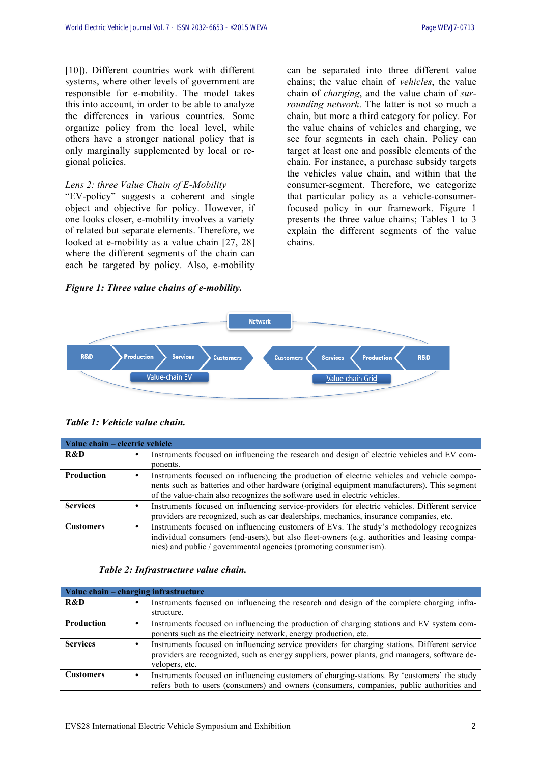[10]). Different countries work with different systems, where other levels of government are responsible for e-mobility. The model takes this into account, in order to be able to analyze the differences in various countries. Some organize policy from the local level, while others have a stronger national policy that is only marginally supplemented by local or regional policies.

#### *Lens 2: three Value Chain of E-Mobility*

"EV-policy" suggests a coherent and single object and objective for policy. However, if one looks closer, e-mobility involves a variety of related but separate elements. Therefore, we looked at e-mobility as a value chain [27, 28] where the different segments of the chain can each be targeted by policy. Also, e-mobility

can be separated into three different value chains; the value chain of *vehicles*, the value chain of *charging*, and the value chain of *surrounding network*. The latter is not so much a chain, but more a third category for policy. For the value chains of vehicles and charging, we see four segments in each chain. Policy can target at least one and possible elements of the chain. For instance, a purchase subsidy targets the vehicles value chain, and within that the consumer-segment. Therefore, we categorize that particular policy as a vehicle-consumerfocused policy in our framework. Figure 1 presents the three value chains; Tables 1 to 3 explain the different segments of the value chains.

*Figure 1: Three value chains of e-mobility.*



*Table 1: Vehicle value chain.*

| Value chain - electric vehicle |                                                                                                                                                                                                                                                                        |
|--------------------------------|------------------------------------------------------------------------------------------------------------------------------------------------------------------------------------------------------------------------------------------------------------------------|
| R&D                            | Instruments focused on influencing the research and design of electric vehicles and EV com-                                                                                                                                                                            |
|                                | ponents.                                                                                                                                                                                                                                                               |
| Production                     | Instruments focused on influencing the production of electric vehicles and vehicle compo-<br>nents such as batteries and other hardware (original equipment manufacturers). This segment<br>of the value-chain also recognizes the software used in electric vehicles. |
| <b>Services</b>                | Instruments focused on influencing service-providers for electric vehicles. Different service<br>providers are recognized, such as car dealerships, mechanics, insurance companies, etc.                                                                               |
| <b>Customers</b>               | Instruments focused on influencing customers of EVs. The study's methodology recognizes<br>individual consumers (end-users), but also fleet-owners (e.g. authorities and leasing compa-<br>nies) and public / governmental agencies (promoting consumerism).           |

| Value chain – charging infrastructure |                |                                                                                                                                                                                                |  |
|---------------------------------------|----------------|------------------------------------------------------------------------------------------------------------------------------------------------------------------------------------------------|--|
| R&D                                   |                | Instruments focused on influencing the research and design of the complete charging infra-                                                                                                     |  |
|                                       | structure.     |                                                                                                                                                                                                |  |
| <b>Production</b>                     |                | Instruments focused on influencing the production of charging stations and EV system com-<br>ponents such as the electricity network, energy production, etc.                                  |  |
| <b>Services</b>                       | velopers, etc. | Instruments focused on influencing service providers for charging stations. Different service<br>providers are recognized, such as energy suppliers, power plants, grid managers, software de- |  |
| <b>Customers</b>                      |                | Instruments focused on influencing customers of charging-stations. By 'customers' the study<br>refers both to users (consumers) and owners (consumers, companies, public authorities and       |  |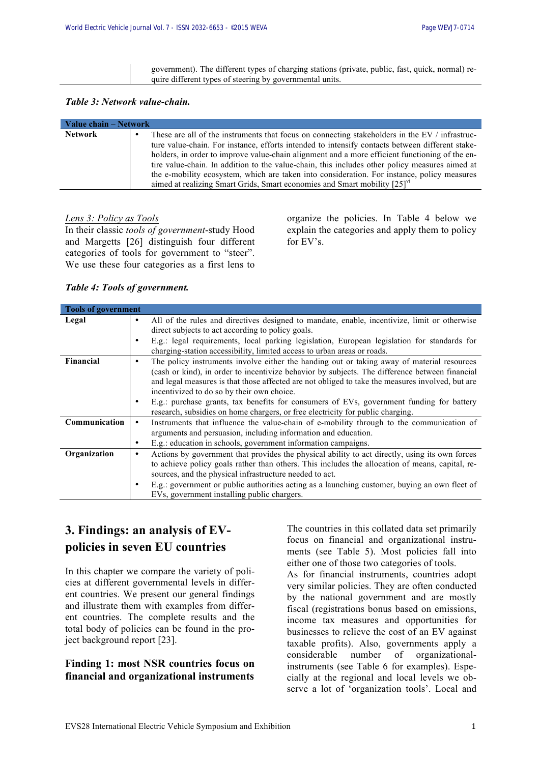| government). The different types of charging stations (private, public, fast, quick, normal) re- |
|--------------------------------------------------------------------------------------------------|
| quire different types of steering by governmental units.                                         |

#### *Table 3: Network value-chain.*

| Value chain – Network |                                                                                                                                                                                                                                                                                                                                                                                                                                                                                                                                                                                              |
|-----------------------|----------------------------------------------------------------------------------------------------------------------------------------------------------------------------------------------------------------------------------------------------------------------------------------------------------------------------------------------------------------------------------------------------------------------------------------------------------------------------------------------------------------------------------------------------------------------------------------------|
| <b>Network</b>        | These are all of the instruments that focus on connecting stakeholders in the EV / infrastruc-<br>٠<br>ture value-chain. For instance, efforts intended to intensify contacts between different stake-<br>holders, in order to improve value-chain alignment and a more efficient functioning of the en-<br>tire value-chain. In addition to the value-chain, this includes other policy measures aimed at<br>the e-mobility ecosystem, which are taken into consideration. For instance, policy measures<br>aimed at realizing Smart Grids, Smart economies and Smart mobility $[25]^{V_1}$ |

#### *Lens 3: Policy as Tools*

In their classic *tools of government*-study Hood and Margetts [26] distinguish four different categories of tools for government to "steer". We use these four categories as a first lens to

organize the policies. In Table 4 below we explain the categories and apply them to policy for EV's.

| <b>Tools of government</b> |           |                                                                                                  |
|----------------------------|-----------|--------------------------------------------------------------------------------------------------|
| Legal                      | ٠         | All of the rules and directives designed to mandate, enable, incentivize, limit or otherwise     |
|                            |           | direct subjects to act according to policy goals.                                                |
|                            | $\bullet$ | E.g.: legal requirements, local parking legislation, European legislation for standards for      |
|                            |           | charging-station accessibility, limited access to urban areas or roads.                          |
| <b>Financial</b>           | ٠         | The policy instruments involve either the handing out or taking away of material resources       |
|                            |           | (cash or kind), in order to incentivize behavior by subjects. The difference between financial   |
|                            |           | and legal measures is that those affected are not obliged to take the measures involved, but are |
|                            |           | incentivized to do so by their own choice.                                                       |
|                            | $\bullet$ | E.g.: purchase grants, tax benefits for consumers of EVs, government funding for battery         |
|                            |           | research, subsidies on home chargers, or free electricity for public charging.                   |
| Communication              | $\bullet$ | Instruments that influence the value-chain of e-mobility through to the communication of         |
|                            |           | arguments and persuasion, including information and education.                                   |
|                            | ٠         | E.g.: education in schools, government information campaigns.                                    |
| Organization               | $\bullet$ | Actions by government that provides the physical ability to act directly, using its own forces   |
|                            |           | to achieve policy goals rather than others. This includes the allocation of means, capital, re-  |
|                            |           | sources, and the physical infrastructure needed to act.                                          |
|                            | ٠         | E.g.: government or public authorities acting as a launching customer, buying an own fleet of    |
|                            |           | EVs, government installing public chargers.                                                      |

## **3. Findings: an analysis of EVpolicies in seven EU countries**

In this chapter we compare the variety of policies at different governmental levels in different countries. We present our general findings and illustrate them with examples from different countries. The complete results and the total body of policies can be found in the project background report [23].

### **Finding 1: most NSR countries focus on financial and organizational instruments**

The countries in this collated data set primarily focus on financial and organizational instruments (see Table 5). Most policies fall into either one of those two categories of tools. As for financial instruments, countries adopt very similar policies. They are often conducted by the national government and are mostly fiscal (registrations bonus based on emissions, income tax measures and opportunities for businesses to relieve the cost of an EV against taxable profits). Also, governments apply a considerable number of organizationalinstruments (see Table 6 for examples). Especially at the regional and local levels we observe a lot of 'organization tools'. Local and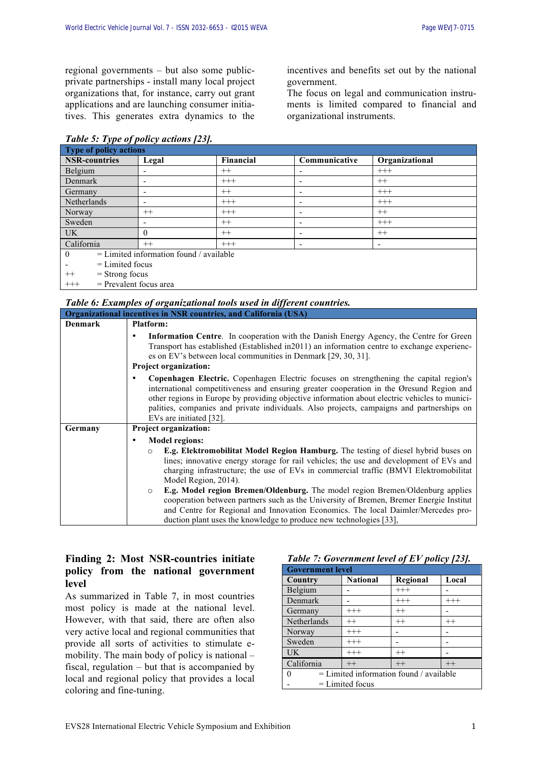regional governments – but also some publicprivate partnerships - install many local project organizations that, for instance, carry out grant applications and are launching consumer initiatives. This generates extra dynamics to the

*Table 5: Type of policy actions [23].*

incentives and benefits set out by the national government.

The focus on legal and communication instruments is limited compared to financial and organizational instruments.

| Type of policy actions                                |                          |           |               |                |
|-------------------------------------------------------|--------------------------|-----------|---------------|----------------|
| <b>NSR-countries</b>                                  | Legal                    | Financial | Communicative | Organizational |
| Belgium                                               |                          | $++$      |               | $+++$          |
| Denmark                                               | -                        | $+++$     | -             | $++$           |
| Germany                                               |                          | $++$      |               | $+++$          |
| Netherlands                                           | ۰                        | $^{+++}$  |               | $^{+++}$       |
| Norway                                                | $++$                     | $+++$     |               | $++$           |
| Sweden                                                | ٠                        | $++$      |               | $+++$          |
| <b>UK</b>                                             |                          | $++$      |               | $++$           |
| California                                            | $++$                     | $+++$     | -             | -              |
| $=$ Limited information found / available<br>$\theta$ |                          |           |               |                |
| $=$ Limited focus                                     |                          |           |               |                |
| $=$ Strong focus<br>$++$                              |                          |           |               |                |
| $^{+++}$                                              | $=$ Prevalent focus area |           |               |                |

*Table 6: Examples of organizational tools used in different countries.* **Organizational incentives in NSR countries, and California (USA)**

| <u>Urganizational incentives in fisix countries, and Camolina (USA)</u> |                                                                                                                                                                                                                                                                                                                                                                                                             |  |  |
|-------------------------------------------------------------------------|-------------------------------------------------------------------------------------------------------------------------------------------------------------------------------------------------------------------------------------------------------------------------------------------------------------------------------------------------------------------------------------------------------------|--|--|
| <b>Denmark</b>                                                          | <b>Platform:</b>                                                                                                                                                                                                                                                                                                                                                                                            |  |  |
|                                                                         | <b>Information Centre.</b> In cooperation with the Danish Energy Agency, the Centre for Green<br>Transport has established (Established in 2011) an information centre to exchange experienc-<br>es on EV's between local communities in Denmark [29, 30, 31].                                                                                                                                              |  |  |
|                                                                         | <b>Project organization:</b>                                                                                                                                                                                                                                                                                                                                                                                |  |  |
|                                                                         | Copenhagen Electric. Copenhagen Electric focuses on strengthening the capital region's<br>international competitiveness and ensuring greater cooperation in the Øresund Region and<br>other regions in Europe by providing objective information about electric vehicles to munici-<br>palities, companies and private individuals. Also projects, campaigns and partnerships on<br>EVs are initiated [32]. |  |  |
| Germany                                                                 | <b>Project organization:</b>                                                                                                                                                                                                                                                                                                                                                                                |  |  |
|                                                                         | <b>Model regions:</b>                                                                                                                                                                                                                                                                                                                                                                                       |  |  |
|                                                                         | <b>E.g. Elektromobilitat Model Region Hamburg.</b> The testing of diesel hybrid buses on<br>$\circ$                                                                                                                                                                                                                                                                                                         |  |  |
|                                                                         | lines; innovative energy storage for rail vehicles; the use and development of EVs and<br>charging infrastructure; the use of EVs in commercial traffic (BMVI Elektromobilitat<br>Model Region, 2014).                                                                                                                                                                                                      |  |  |
|                                                                         | E.g. Model region Bremen/Oldenburg. The model region Bremen/Oldenburg applies<br>$\circ$                                                                                                                                                                                                                                                                                                                    |  |  |
|                                                                         | cooperation between partners such as the University of Bremen, Bremer Energie Institut                                                                                                                                                                                                                                                                                                                      |  |  |
|                                                                         | and Centre for Regional and Innovation Economics. The local Daimler/Mercedes pro-                                                                                                                                                                                                                                                                                                                           |  |  |
|                                                                         | duction plant uses the knowledge to produce new technologies [33],                                                                                                                                                                                                                                                                                                                                          |  |  |

### **Finding 2: Most NSR-countries initiate policy from the national government level**

As summarized in Table 7, in most countries most policy is made at the national level. However, with that said, there are often also very active local and regional communities that provide all sorts of activities to stimulate emobility. The main body of policy is national – fiscal, regulation – but that is accompanied by local and regional policy that provides a local coloring and fine-tuning.

| Table 7: Government level of EV policy [23]. |  |
|----------------------------------------------|--|
|                                              |  |

| <b>Government level</b>                                   |                 |          |       |
|-----------------------------------------------------------|-----------------|----------|-------|
| Country                                                   | <b>National</b> | Regional | Local |
| Belgium                                                   |                 | $^{+++}$ |       |
| Denmark                                                   |                 | $+++$    | $+++$ |
| Germany                                                   | $+++$           | $++$     |       |
| Netherlands                                               | $++$            | $++$     | $++$  |
| Norway                                                    | $+++$           |          |       |
| Sweden                                                    | $+++$           |          |       |
| <b>UK</b>                                                 | $+++$           | $++$     |       |
| California                                                | $++$            | $++$     | $++$  |
| $=$ Limited information found / available<br>$\mathbf{0}$ |                 |          |       |
| $=$ Limited focus                                         |                 |          |       |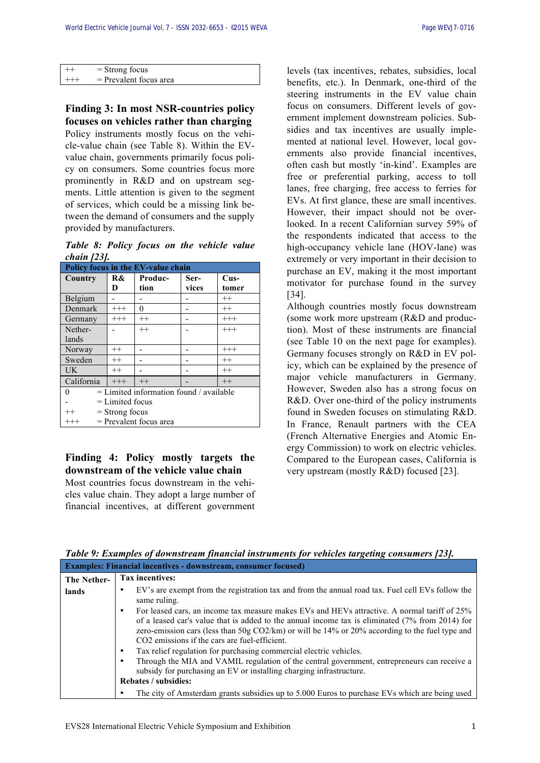| $^{++}$ | $=$ Strong focus         |
|---------|--------------------------|
| ++      | $=$ Prevalent focus area |

### **Finding 3: In most NSR-countries policy focuses on vehicles rather than charging**

Policy instruments mostly focus on the vehicle-value chain (see Table 8). Within the EVvalue chain, governments primarily focus policy on consumers. Some countries focus more prominently in R&D and on upstream segments. Little attention is given to the segment of services, which could be a missing link between the demand of consumers and the supply provided by manufacturers.

*Table 8: Policy focus on the vehicle value chain [23].*

| Policy focus in the EV-value chain                    |                        |         |       |         |  |
|-------------------------------------------------------|------------------------|---------|-------|---------|--|
| Country                                               | R&                     | Produc- | Ser-  | $Cus-$  |  |
|                                                       | D                      | tion    | vices | tomer   |  |
| Belgium                                               |                        |         |       | $^{++}$ |  |
| Denmark                                               | $+++$                  | 0       |       | $^{++}$ |  |
| Germany                                               | $+++$                  | $^{++}$ |       | $+++$   |  |
| Nether-                                               |                        | $^{++}$ |       | $+++$   |  |
| lands                                                 |                        |         |       |         |  |
| Norway                                                | $^{++}$                |         |       | $+++$   |  |
| Sweden                                                | $^{++}$                |         |       | $^{++}$ |  |
| <b>UK</b>                                             | $^{++}$                |         |       | $^{++}$ |  |
| California                                            | $+++$                  | $^{++}$ |       | $++$    |  |
| $=$ Limited information found / available<br>$\theta$ |                        |         |       |         |  |
|                                                       | $=$ Limited focus      |         |       |         |  |
| $^{++}$                                               | $=$ Strong focus       |         |       |         |  |
|                                                       | = Prevalent focus area |         |       |         |  |

### **Finding 4: Policy mostly targets the downstream of the vehicle value chain**

Most countries focus downstream in the vehicles value chain. They adopt a large number of financial incentives, at different government

levels (tax incentives, rebates, subsidies, local benefits, etc.). In Denmark, one-third of the steering instruments in the EV value chain focus on consumers. Different levels of government implement downstream policies. Subsidies and tax incentives are usually implemented at national level. However, local governments also provide financial incentives, often cash but mostly 'in-kind'. Examples are free or preferential parking, access to toll lanes, free charging, free access to ferries for EVs. At first glance, these are small incentives. However, their impact should not be overlooked. In a recent Californian survey 59% of the respondents indicated that access to the high-occupancy vehicle lane (HOV-lane) was extremely or very important in their decision to purchase an EV, making it the most important motivator for purchase found in the survey [34].

Although countries mostly focus downstream (some work more upstream (R&D and production). Most of these instruments are financial (see Table 10 on the next page for examples). Germany focuses strongly on R&D in EV policy, which can be explained by the presence of major vehicle manufacturers in Germany. However, Sweden also has a strong focus on R&D. Over one-third of the policy instruments found in Sweden focuses on stimulating R&D. In France, Renault partners with the CEA (French Alternative Energies and Atomic Energy Commission) to work on electric vehicles. Compared to the European cases, California is very upstream (mostly R&D) focused [23].

| <b>Examples: Financial incentives - downstream, consumer focused)</b> |                                                                                                                                                                                                                                                                                                                                                                                                                                                                                                                                                                                                                                                                                                                                               |  |  |  |  |
|-----------------------------------------------------------------------|-----------------------------------------------------------------------------------------------------------------------------------------------------------------------------------------------------------------------------------------------------------------------------------------------------------------------------------------------------------------------------------------------------------------------------------------------------------------------------------------------------------------------------------------------------------------------------------------------------------------------------------------------------------------------------------------------------------------------------------------------|--|--|--|--|
| <b>The Nether-</b>                                                    | Tax incentives:                                                                                                                                                                                                                                                                                                                                                                                                                                                                                                                                                                                                                                                                                                                               |  |  |  |  |
| lands                                                                 | EV's are exempt from the registration tax and from the annual road tax. Fuel cell EVs follow the<br>same ruling.<br>For leased cars, an income tax measure makes EVs and HEVs attractive. A normal tariff of 25%<br>of a leased car's value that is added to the annual income tax is eliminated (7% from 2014) for<br>zero-emission cars (less than 50g $CO2/km$ ) or will be 14% or 20% according to the fuel type and<br>CO2 emissions if the cars are fuel-efficient.<br>Tax relief regulation for purchasing commercial electric vehicles.<br>Through the MIA and VAMIL regulation of the central government, entrepreneurs can receive a<br>subsidy for purchasing an EV or installing charging infrastructure.<br>Rebates / subsidies: |  |  |  |  |
|                                                                       |                                                                                                                                                                                                                                                                                                                                                                                                                                                                                                                                                                                                                                                                                                                                               |  |  |  |  |
|                                                                       | The city of Amsterdam grants subsidies up to 5.000 Euros to purchase EVs which are being used                                                                                                                                                                                                                                                                                                                                                                                                                                                                                                                                                                                                                                                 |  |  |  |  |

*Table 9: Examples of downstream financial instruments for vehicles targeting consumers [23].*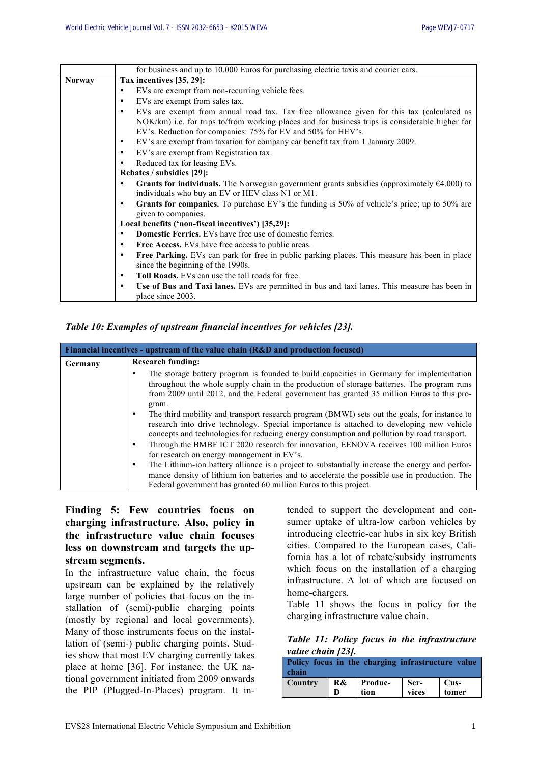|               | for business and up to 10.000 Euros for purchasing electric taxis and courier cars.                     |  |  |  |  |  |
|---------------|---------------------------------------------------------------------------------------------------------|--|--|--|--|--|
| <b>Norway</b> | Tax incentives $[35, 29]$ :                                                                             |  |  |  |  |  |
|               | EVs are exempt from non-recurring vehicle fees.<br>٠                                                    |  |  |  |  |  |
|               | EVs are exempt from sales tax.<br>٠                                                                     |  |  |  |  |  |
|               | EVs are exempt from annual road tax. Tax free allowance given for this tax (calculated as<br>٠          |  |  |  |  |  |
|               | NOK/km) i.e. for trips to/from working places and for business trips is considerable higher for         |  |  |  |  |  |
|               | EV's. Reduction for companies: 75% for EV and 50% for HEV's.                                            |  |  |  |  |  |
|               | EV's are exempt from taxation for company car benefit tax from 1 January 2009.<br>٠                     |  |  |  |  |  |
|               | EV's are exempt from Registration tax.<br>٠                                                             |  |  |  |  |  |
|               | Reduced tax for leasing EVs.                                                                            |  |  |  |  |  |
|               | Rebates / subsidies [29]:                                                                               |  |  |  |  |  |
|               | Grants for individuals. The Norwegian government grants subsidies (approximately $64.000$ ) to          |  |  |  |  |  |
|               | individuals who buy an EV or HEV class N1 or M1.                                                        |  |  |  |  |  |
|               | <b>Grants for companies.</b> To purchase EV's the funding is 50% of vehicle's price; up to 50% are<br>٠ |  |  |  |  |  |
|               | given to companies.                                                                                     |  |  |  |  |  |
|               | Local benefits ('non-fiscal incentives') [35,29]:                                                       |  |  |  |  |  |
|               | <b>Domestic Ferries.</b> EVs have free use of domestic ferries.                                         |  |  |  |  |  |
|               | Free Access. EVs have free access to public areas.<br>٠                                                 |  |  |  |  |  |
|               | Free Parking. EVs can park for free in public parking places. This measure has been in place<br>٠       |  |  |  |  |  |
|               | since the beginning of the 1990s.                                                                       |  |  |  |  |  |
|               | <b>Toll Roads.</b> EVs can use the toll roads for free.<br>٠                                            |  |  |  |  |  |
|               | Use of Bus and Taxi lanes. EVs are permitted in bus and taxi lanes. This measure has been in<br>٠       |  |  |  |  |  |
|               | place since 2003.                                                                                       |  |  |  |  |  |

*Table 10: Examples of upstream financial incentives for vehicles [23].*

| Financial incentives - upstream of the value chain (R&D and production focused) |                                                                                                                                                                                                                                                                                               |  |  |  |  |  |  |
|---------------------------------------------------------------------------------|-----------------------------------------------------------------------------------------------------------------------------------------------------------------------------------------------------------------------------------------------------------------------------------------------|--|--|--|--|--|--|
| Germany                                                                         | <b>Research funding:</b>                                                                                                                                                                                                                                                                      |  |  |  |  |  |  |
|                                                                                 | The storage battery program is founded to build capacities in Germany for implementation<br>throughout the whole supply chain in the production of storage batteries. The program runs<br>from 2009 until 2012, and the Federal government has granted 35 million Euros to this pro-<br>gram. |  |  |  |  |  |  |
|                                                                                 | The third mobility and transport research program (BMWI) sets out the goals, for instance to<br>research into drive technology. Special importance is attached to developing new vehicle<br>concepts and technologies for reducing energy consumption and pollution by road transport.        |  |  |  |  |  |  |
|                                                                                 | Through the BMBF ICT 2020 research for innovation, EENOVA receives 100 million Euros<br>for research on energy management in EV's.                                                                                                                                                            |  |  |  |  |  |  |
|                                                                                 | The Lithium-ion battery alliance is a project to substantially increase the energy and perfor-<br>mance density of lithium ion batteries and to accelerate the possible use in production. The<br>Federal government has granted 60 million Euros to this project.                            |  |  |  |  |  |  |

**Finding 5: Few countries focus on charging infrastructure. Also, policy in the infrastructure value chain focuses less on downstream and targets the upstream segments.** 

In the infrastructure value chain, the focus upstream can be explained by the relatively large number of policies that focus on the installation of (semi)-public charging points (mostly by regional and local governments). Many of those instruments focus on the installation of (semi-) public charging points. Studies show that most EV charging currently takes place at home [36]. For instance, the UK national government initiated from 2009 onwards the PIP (Plugged-In-Places) program. It intended to support the development and consumer uptake of ultra-low carbon vehicles by introducing electric-car hubs in six key British cities. Compared to the European cases, California has a lot of rebate/subsidy instruments which focus on the installation of a charging infrastructure. A lot of which are focused on home-chargers.

Table 11 shows the focus in policy for the charging infrastructure value chain.

|  |                   |  | Table 11: Policy focus in the infrastructure |
|--|-------------------|--|----------------------------------------------|
|  | value chain [23]. |  |                                              |

| Policy focus in the charging infrastructure value<br>  chain |                |         |       |          |  |
|--------------------------------------------------------------|----------------|---------|-------|----------|--|
| <b>Country</b>                                               | $\parallel$ R& | Produc- | Ser-  | $ $ Cus- |  |
|                                                              | D              | tion    | vices | tomer    |  |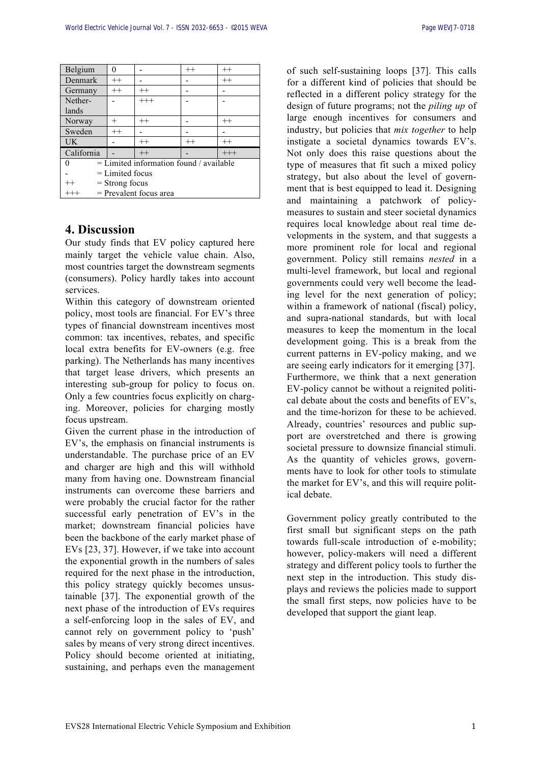| Belgium    | 0                                         |          | $++$ | $++$    |  |
|------------|-------------------------------------------|----------|------|---------|--|
| Denmark    | $++$                                      |          |      | $++$    |  |
| Germany    | $++$                                      | $^{++}$  |      |         |  |
| Nether-    |                                           | $^{+++}$ |      |         |  |
| lands      |                                           |          |      |         |  |
| Norway     | $^{+}$                                    | $^{++}$  |      | $^{++}$ |  |
| Sweden     | $++$                                      |          |      |         |  |
| UK         |                                           | $^{++}$  | $++$ | $++$    |  |
| California |                                           | $^{++}$  |      | $+++$   |  |
| 0          | $=$ Limited information found / available |          |      |         |  |
|            | $=$ Limited focus                         |          |      |         |  |
| $++$       | $=$ Strong focus                          |          |      |         |  |
|            | = Prevalent focus area                    |          |      |         |  |

### **4. Discussion**

Our study finds that EV policy captured here mainly target the vehicle value chain. Also, most countries target the downstream segments (consumers). Policy hardly takes into account services.

Within this category of downstream oriented policy, most tools are financial. For EV's three types of financial downstream incentives most common: tax incentives, rebates, and specific local extra benefits for EV-owners (e.g. free parking). The Netherlands has many incentives that target lease drivers, which presents an interesting sub-group for policy to focus on. Only a few countries focus explicitly on charging. Moreover, policies for charging mostly focus upstream.

Given the current phase in the introduction of EV's, the emphasis on financial instruments is understandable. The purchase price of an EV and charger are high and this will withhold many from having one. Downstream financial instruments can overcome these barriers and were probably the crucial factor for the rather successful early penetration of EV's in the market; downstream financial policies have been the backbone of the early market phase of EVs [23, 37]. However, if we take into account the exponential growth in the numbers of sales required for the next phase in the introduction, this policy strategy quickly becomes unsustainable [37]. The exponential growth of the next phase of the introduction of EVs requires a self-enforcing loop in the sales of EV, and cannot rely on government policy to 'push' sales by means of very strong direct incentives. Policy should become oriented at initiating, sustaining, and perhaps even the management

of such self-sustaining loops [37]. This calls for a different kind of policies that should be reflected in a different policy strategy for the design of future programs; not the *piling up* of large enough incentives for consumers and industry, but policies that *mix together* to help instigate a societal dynamics towards EV's. Not only does this raise questions about the type of measures that fit such a mixed policy strategy, but also about the level of government that is best equipped to lead it. Designing and maintaining a patchwork of policymeasures to sustain and steer societal dynamics requires local knowledge about real time developments in the system, and that suggests a more prominent role for local and regional government. Policy still remains *nested* in a multi-level framework, but local and regional governments could very well become the leading level for the next generation of policy; within a framework of national (fiscal) policy, and supra-national standards, but with local measures to keep the momentum in the local development going. This is a break from the current patterns in EV-policy making, and we are seeing early indicators for it emerging [37]. Furthermore, we think that a next generation EV-policy cannot be without a reignited political debate about the costs and benefits of EV's, and the time-horizon for these to be achieved. Already, countries' resources and public support are overstretched and there is growing societal pressure to downsize financial stimuli. As the quantity of vehicles grows, governments have to look for other tools to stimulate the market for EV's, and this will require political debate.

Government policy greatly contributed to the first small but significant steps on the path towards full-scale introduction of e-mobility; however, policy-makers will need a different strategy and different policy tools to further the next step in the introduction. This study displays and reviews the policies made to support the small first steps, now policies have to be developed that support the giant leap.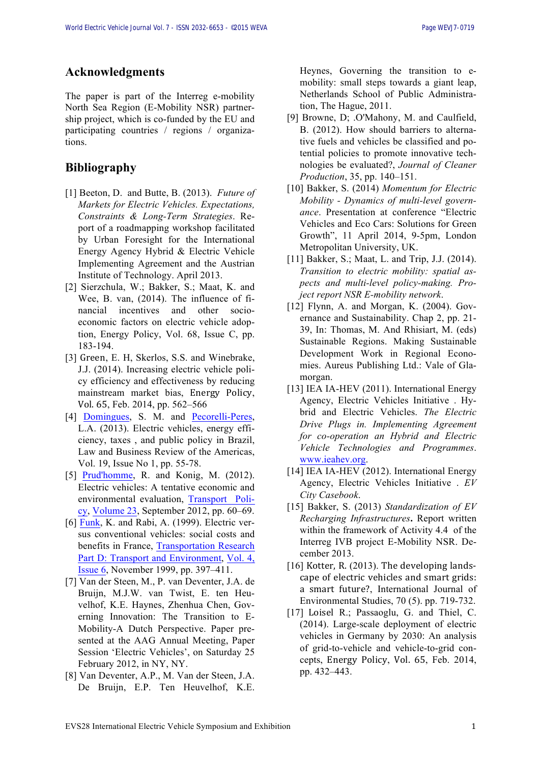## **Acknowledgments**

The paper is part of the Interreg e-mobility North Sea Region (E-Mobility NSR) partnership project, which is co-funded by the EU and participating countries / regions / organizations.

## **Bibliography**

- [1] Beeton, D. and Butte, B. (2013). *Future of Markets for Electric Vehicles. Expectations, Constraints & Long-Term Strategies*. Report of a roadmapping workshop facilitated by Urban Foresight for the International Energy Agency Hybrid & Electric Vehicle Implementing Agreement and the Austrian Institute of Technology. April 2013.
- [2] Sierzchula, W.; Bakker, S.; Maat, K. and Wee, B. van, (2014). The influence of financial incentives and other socioeconomic factors on electric vehicle adoption, Energy Policy, Vol. 68, Issue C, pp. 183-194.
- [3] Green, E. H, Skerlos, S.S. and Winebrake, J.J. (2014). Increasing electric vehicle policy efficiency and effectiveness by reducing mainstream market bias, Energy Policy, Vol. 65, Feb. 2014, pp. 562–566
- [4] Domingues, S. M. and Pecorelli-Peres, L.A. (2013). Electric vehicles, energy efficiency, taxes , and public policy in Brazil, Law and Business Review of the Americas, Vol. 19, Issue No 1, pp. 55-78.
- [5] Prud'homme, R. and Konig, M. (2012). Electric vehicles: A tentative economic and environmental evaluation, Transport Policy, Volume 23, September 2012, pp. 60–69.
- [6] Funk, K. and Rabi, A. (1999). Electric versus conventional vehicles: social costs and benefits in France, Transportation Research Part D: Transport and Environment, Vol. 4, Issue 6, November 1999, pp. 397–411.
- [7] Van der Steen, M., P. van Deventer, J.A. de Bruijn, M.J.W. van Twist, E. ten Heuvelhof, K.E. Haynes, Zhenhua Chen, Governing Innovation: The Transition to E-Mobility-A Dutch Perspective. Paper presented at the AAG Annual Meeting, Paper Session 'Electric Vehicles', on Saturday 25 February 2012, in NY, NY.
- [8] Van Deventer, A.P., M. Van der Steen, J.A. De Bruijn, E.P. Ten Heuvelhof, K.E.

Heynes, Governing the transition to emobility: small steps towards a giant leap, Netherlands School of Public Administration, The Hague, 2011.

- [9] Browne, D; .O'Mahony, M. and Caulfield, B. (2012). How should barriers to alternative fuels and vehicles be classified and potential policies to promote innovative technologies be evaluated?, *Journal of Cleaner Production*, 35, pp. 140–151.
- [10] Bakker, S. (2014) *Momentum for Electric Mobility - Dynamics of multi-level governance*. Presentation at conference "Electric Vehicles and Eco Cars: Solutions for Green Growth", 11 April 2014, 9-5pm, London Metropolitan University, UK.
- [11] Bakker, S.; Maat, L. and Trip, J.J. (2014). *Transition to electric mobility: spatial aspects and multi-level policy-making. Project report NSR E-mobility network*.
- [12] Flynn, A. and Morgan, K. (2004). Governance and Sustainability. Chap 2, pp. 21- 39, In: Thomas, M. And Rhisiart, M. (eds) Sustainable Regions. Making Sustainable Development Work in Regional Economies. Aureus Publishing Ltd.: Vale of Glamorgan.
- [13] IEA IA-HEV (2011). International Energy Agency, Electric Vehicles Initiative . Hybrid and Electric Vehicles. *The Electric Drive Plugs in. Implementing Agreement for co-operation an Hybrid and Electric Vehicle Technologies and Programmes*. www.ieahev.org.
- [14] IEA IA-HEV (2012). International Energy Agency, Electric Vehicles Initiative . *EV City Casebook*.
- [15] Bakker, S. (2013) *Standardization of EV Recharging Infrastructures***.** Report written within the framework of Activity 4.4 of the Interreg IVB project E-Mobility NSR. December 2013.
- [16] Kotter, R. (2013). The developing landscape of electric vehicles and smart grids: a smart future?, International Journal of Environmental Studies, 70 (5). pp. 719-732.
- [17] Loisel R.; Passaoglu, G. and Thiel, C. (2014). Large-scale deployment of electric vehicles in Germany by 2030: An analysis of grid-to-vehicle and vehicle-to-grid concepts, Energy Policy, Vol. 65, Feb. 2014, pp. 432–443.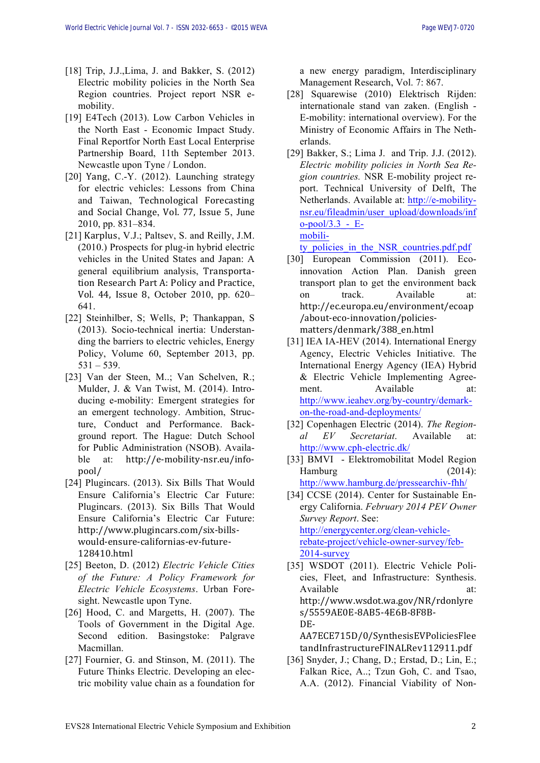- [18] Trip, J.J.,Lima, J. and Bakker, S. (2012) Electric mobility policies in the North Sea Region countries. Project report NSR emobility.
- [19] E4Tech (2013). Low Carbon Vehicles in the North East - Economic Impact Study. Final Reportfor North East Local Enterprise Partnership Board, 11th September 2013. Newcastle upon Tyne / London.
- [20] Yang, C.-Y. (2012). Launching strategy for electric vehicles: Lessons from China and Taiwan, Technological Forecasting and Social Change, Vol. 77, Issue 5, June 2010, pp. 831–834.
- [21] Karplus, V.J.; Paltsev, S. and Reilly, J.M. (2010.) Prospects for plug-in hybrid electric vehicles in the United States and Japan: A general equilibrium analysis, Transportation Research Part A: Policy and Practice, Vol. 44, Issue 8, October 2010, pp. 620– 641.
- [22] Steinhilber, S; Wells, P; Thankappan, S (2013). Socio-technical inertia: Understanding the barriers to electric vehicles, Energy Policy, Volume 60, September 2013, pp.  $531 - 539$ .
- [23] Van der Steen, M..; Van Schelven, R.; Mulder, J. & Van Twist, M. (2014). Introducing e-mobility: Emergent strategies for an emergent technology. Ambition, Structure, Conduct and Performance. Background report. The Hague: Dutch School for Public Administration (NSOB). Available at: http://e-mobility-nsr.eu/infopool/
- [24] Plugincars. (2013). Six Bills That Would Ensure California's Electric Car Future: Plugincars. (2013). Six Bills That Would Ensure California's Electric Car Future: http://www.plugincars.com/six-billswould-ensure-californias-ev-future-128410.html
- [25] Beeton, D. (2012) *Electric Vehicle Cities of the Future: A Policy Framework for Electric Vehicle Ecosystems*. Urban Foresight. Newcastle upon Tyne.
- [26] Hood, C. and Margetts, H. (2007). The Tools of Government in the Digital Age. Second edition. Basingstoke: Palgrave Macmillan.
- [27] Fournier, G. and Stinson, M. (2011). The Future Thinks Electric. Developing an electric mobility value chain as a foundation for

a new energy paradigm, Interdisciplinary Management Research, Vol. 7: 867.

- [28] Squarewise (2010) Elektrisch Rijden: internationale stand van zaken. (English - E-mobility: international overview). For the Ministry of Economic Affairs in The Netherlands.
- [29] Bakker, S.; Lima J. and Trip. J.J. (2012). *Electric mobility policies in North Sea Region countries.* NSR E-mobility project report. Technical University of Delft, The Netherlands. Available at: http://e-mobilitynsr.eu/fileadmin/user\_upload/downloads/inf  $o-pool/3.3$  - Emobili-

ty policies in the NSR countries.pdf.pdf

- [30] European Commission (2011). Ecoinnovation Action Plan. Danish green transport plan to get the environment back on track. Available at: http://ec.europa.eu/environment/ecoap /about-eco-innovation/policiesmatters/denmark/388\_en.html
- [31] IEA IA-HEV (2014). International Energy Agency, Electric Vehicles Initiative. The International Energy Agency (IEA) Hybrid & Electric Vehicle Implementing Agreement. Available at: http://www.ieahev.org/by-country/demarkon-the-road-and-deployments/
- [32] Copenhagen Electric (2014). *The Regional EV Secretariat*. Available at: http://www.cph-electric.dk/
- [33] BMVI Elektromobilitat Model Region Hamburg (2014): http://www.hamburg.de/pressearchiv-fhh/
- [34] CCSE (2014). Center for Sustainable Energy California. *February 2014 PEV Owner Survey Report*. See: http://energycenter.org/clean-vehiclerebate-project/vehicle-owner-survey/feb-2014-survey
- [35] WSDOT (2011). Electric Vehicle Policies, Fleet, and Infrastructure: Synthesis. Available at: http://www.wsdot.wa.gov/NR/rdonlyre s/5559AE0E-8AB5-4E6B-8F8B-DE-

AA7ECE715D/0/SynthesisEVPoliciesFlee tandInfrastructureFINALRev112911.pdf

[36] Snyder, J.; Chang, D.; Erstad, D.; Lin, E.; Falkan Rice, A..; Tzun Goh, C. and Tsao, A.A. (2012). Financial Viability of Non